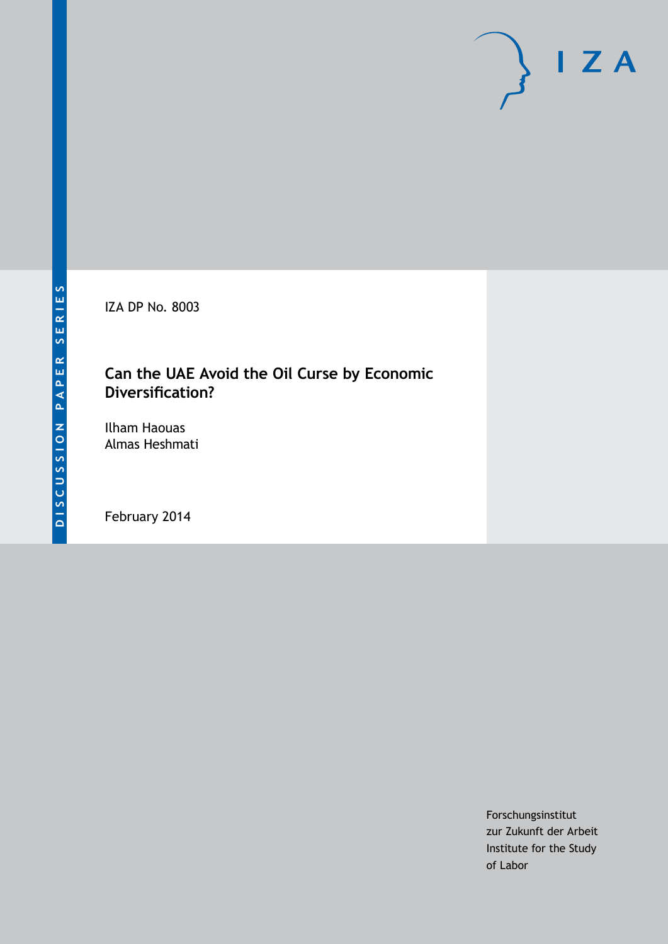IZA DP No. 8003

# **Can the UAE Avoid the Oil Curse by Economic Diversification?**

Ilham Haouas Almas Heshmati

February 2014

Forschungsinstitut zur Zukunft der Arbeit Institute for the Study of Labor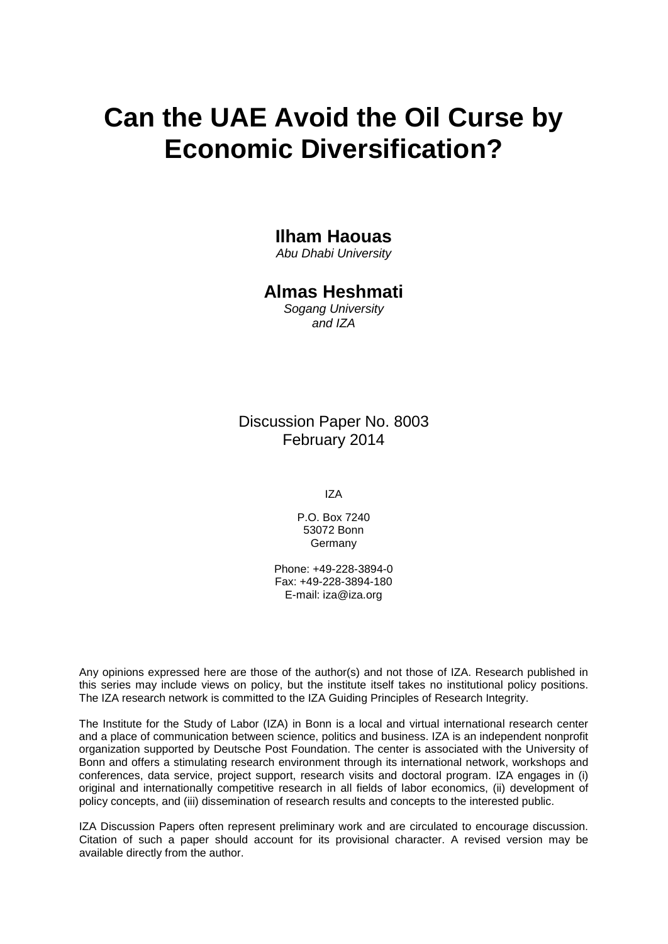# **Can the UAE Avoid the Oil Curse by Economic Diversification?**

## **Ilham Haouas**

*Abu Dhabi University*

### **Almas Heshmati**

*Sogang University and IZA*

Discussion Paper No. 8003 February 2014

IZA

P.O. Box 7240 53072 Bonn Germany

Phone: +49-228-3894-0 Fax: +49-228-3894-180 E-mail: [iza@iza.org](mailto:iza@iza.org)

Any opinions expressed here are those of the author(s) and not those of IZA. Research published in this series may include views on policy, but the institute itself takes no institutional policy positions. The IZA research network is committed to the IZA Guiding Principles of Research Integrity.

The Institute for the Study of Labor (IZA) in Bonn is a local and virtual international research center and a place of communication between science, politics and business. IZA is an independent nonprofit organization supported by Deutsche Post Foundation. The center is associated with the University of Bonn and offers a stimulating research environment through its international network, workshops and conferences, data service, project support, research visits and doctoral program. IZA engages in (i) original and internationally competitive research in all fields of labor economics, (ii) development of policy concepts, and (iii) dissemination of research results and concepts to the interested public.

<span id="page-1-0"></span>IZA Discussion Papers often represent preliminary work and are circulated to encourage discussion. Citation of such a paper should account for its provisional character. A revised version may be available directly from the author.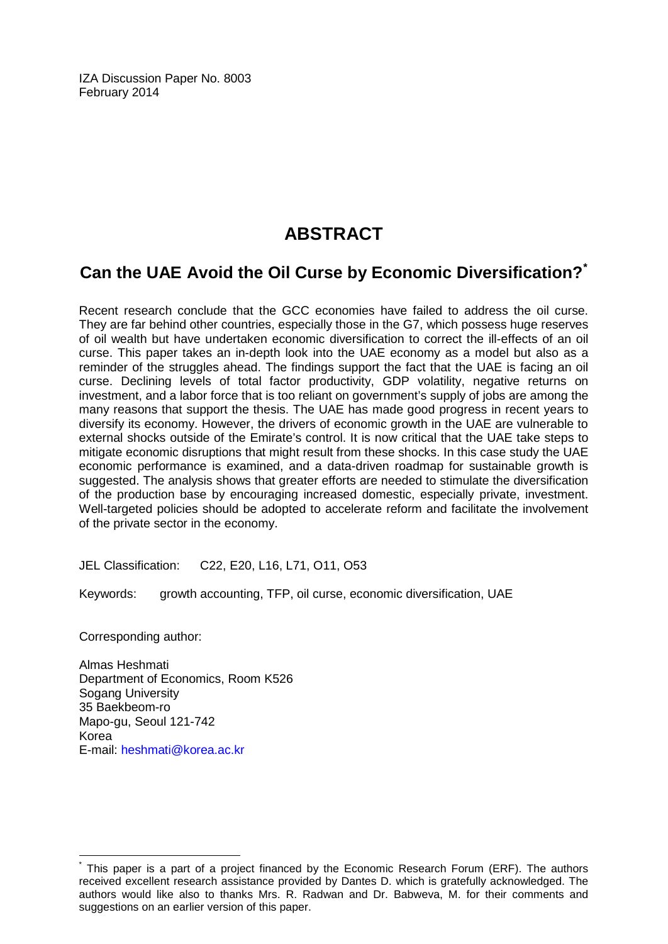IZA Discussion Paper No. 8003 February 2014

# **ABSTRACT**

## **Can the UAE Avoid the Oil Curse by Economic Diversification?[\\*](#page-1-0)**

Recent research conclude that the GCC economies have failed to address the oil curse. They are far behind other countries, especially those in the G7, which possess huge reserves of oil wealth but have undertaken economic diversification to correct the ill-effects of an oil curse. This paper takes an in-depth look into the UAE economy as a model but also as a reminder of the struggles ahead. The findings support the fact that the UAE is facing an oil curse. Declining levels of total factor productivity, GDP volatility, negative returns on investment, and a labor force that is too reliant on government's supply of jobs are among the many reasons that support the thesis. The UAE has made good progress in recent years to diversify its economy. However, the drivers of economic growth in the UAE are vulnerable to external shocks outside of the Emirate's control. It is now critical that the UAE take steps to mitigate economic disruptions that might result from these shocks. In this case study the UAE economic performance is examined, and a data-driven roadmap for sustainable growth is suggested. The analysis shows that greater efforts are needed to stimulate the diversification of the production base by encouraging increased domestic, especially private, investment. Well-targeted policies should be adopted to accelerate reform and facilitate the involvement of the private sector in the economy.

JEL Classification: C22, E20, L16, L71, O11, O53

Keywords: growth accounting, TFP, oil curse, economic diversification, UAE

Corresponding author:

Almas Heshmati Department of Economics, Room K526 Sogang University 35 Baekbeom-ro Mapo-gu, Seoul 121-742 Korea E-mail: [heshmati@korea.ac.kr](mailto:heshmati@korea.ac.kr)

This paper is a part of a project financed by the Economic Research Forum (ERF). The authors received excellent research assistance provided by Dantes D. which is gratefully acknowledged. The authors would like also to thanks Mrs. R. Radwan and Dr. Babweva, M. for their comments and suggestions on an earlier version of this paper.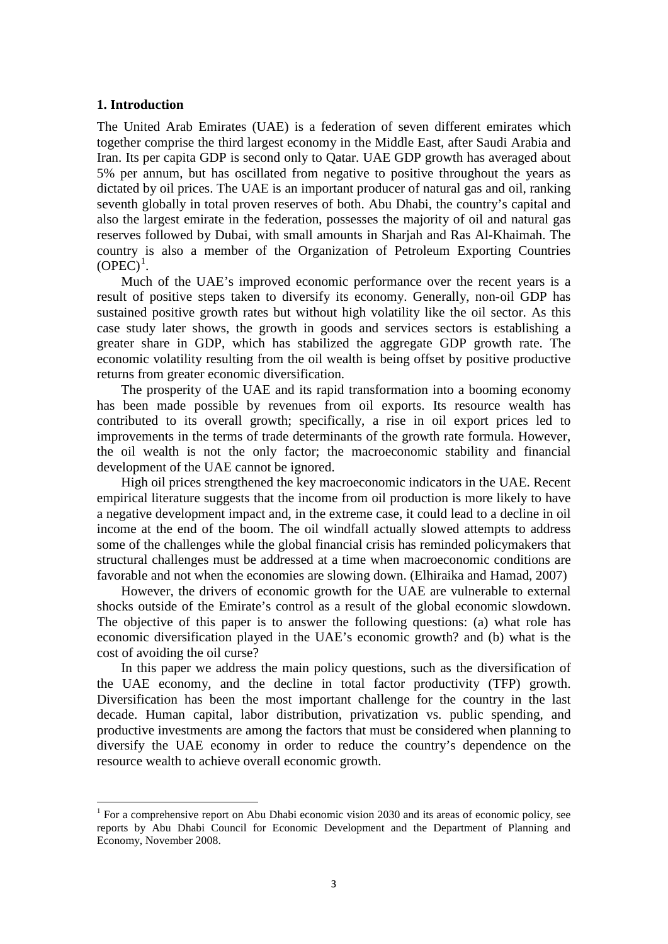#### **1. Introduction**

The United Arab Emirates (UAE) is a federation of seven different emirates which together comprise the third largest economy in the Middle East, after Saudi Arabia and Iran. Its per capita GDP is second only to Qatar. UAE GDP growth has averaged about 5% per annum, but has oscillated from negative to positive throughout the years as dictated by oil prices. The UAE is an important producer of natural gas and oil, ranking seventh globally in total proven reserves of both. Abu Dhabi, the country's capital and also the largest emirate in the federation, possesses the majority of oil and natural gas reserves followed by Dubai, with small amounts in Sharjah and Ras Al-Khaimah. The country is also a member of the Organization of Petroleum Exporting Countries  $(OPEC)^1$ .

Much of the UAE's improved economic performance over the recent years is a result of positive steps taken to diversify its economy. Generally, non-oil GDP has sustained positive growth rates but without high volatility like the oil sector. As this case study later shows, the growth in goods and services sectors is establishing a greater share in GDP, which has stabilized the aggregate GDP growth rate. The economic volatility resulting from the oil wealth is being offset by positive productive returns from greater economic diversification.

The prosperity of the UAE and its rapid transformation into a booming economy has been made possible by revenues from oil exports. Its resource wealth has contributed to its overall growth; specifically, a rise in oil export prices led to improvements in the terms of trade determinants of the growth rate formula. However, the oil wealth is not the only factor; the macroeconomic stability and financial development of the UAE cannot be ignored.

High oil prices strengthened the key macroeconomic indicators in the UAE. Recent empirical literature suggests that the income from oil production is more likely to have a negative development impact and, in the extreme case, it could lead to a decline in oil income at the end of the boom. The oil windfall actually slowed attempts to address some of the challenges while the global financial crisis has reminded policymakers that structural challenges must be addressed at a time when macroeconomic conditions are favorable and not when the economies are slowing down. (Elhiraika and Hamad, 2007)

However, the drivers of economic growth for the UAE are vulnerable to external shocks outside of the Emirate's control as a result of the global economic slowdown. The objective of this paper is to answer the following questions: (a) what role has economic diversification played in the UAE's economic growth? and (b) what is the cost of avoiding the oil curse?

In this paper we address the main policy questions, such as the diversification of the UAE economy, and the decline in total factor productivity (TFP) growth. Diversification has been the most important challenge for the country in the last decade. Human capital, labor distribution, privatization vs. public spending, and productive investments are among the factors that must be considered when planning to diversify the UAE economy in order to reduce the country's dependence on the resource wealth to achieve overall economic growth.

<span id="page-3-0"></span><sup>&</sup>lt;sup>1</sup> For a comprehensive report on Abu Dhabi economic vision 2030 and its areas of economic policy, see reports by Abu Dhabi Council for Economic Development and the Department of Planning and Economy, November 2008.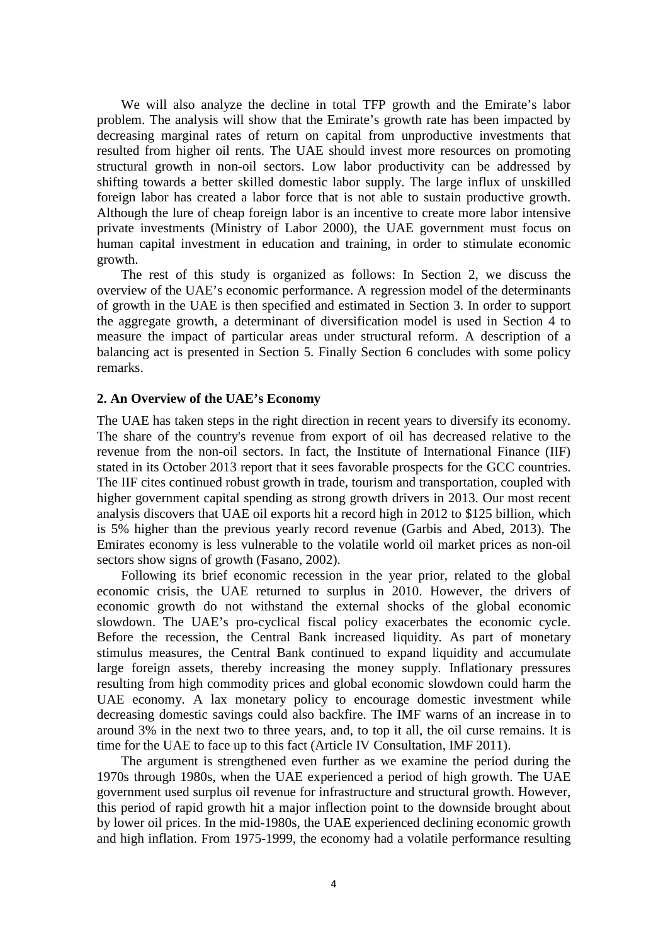We will also analyze the decline in total TFP growth and the Emirate's labor problem. The analysis will show that the Emirate's growth rate has been impacted by decreasing marginal rates of return on capital from unproductive investments that resulted from higher oil rents. The UAE should invest more resources on promoting structural growth in non-oil sectors. Low labor productivity can be addressed by shifting towards a better skilled domestic labor supply. The large influx of unskilled foreign labor has created a labor force that is not able to sustain productive growth. Although the lure of cheap foreign labor is an incentive to create more labor intensive private investments (Ministry of Labor 2000), the UAE government must focus on human capital investment in education and training, in order to stimulate economic growth.

The rest of this study is organized as follows: In Section 2, we discuss the overview of the UAE's economic performance. A regression model of the determinants of growth in the UAE is then specified and estimated in Section 3. In order to support the aggregate growth, a determinant of diversification model is used in Section 4 to measure the impact of particular areas under structural reform. A description of a balancing act is presented in Section 5. Finally Section 6 concludes with some policy remarks.

#### **2. An Overview of the UAE's Economy**

The UAE has taken steps in the right direction in recent years to diversify its economy. The share of the country's revenue from export of oil has decreased relative to the revenue from the non-oil sectors. In fact, the Institute of International Finance (IIF) stated in its October 2013 report that it sees favorable prospects for the GCC countries. The IIF cites continued robust growth in trade, tourism and transportation, coupled with higher government capital spending as strong growth drivers in 2013. Our most recent analysis discovers that UAE oil exports hit a record high in 2012 to \$125 billion, which is 5% higher than the previous yearly record revenue (Garbis and Abed, 2013). The Emirates economy is less vulnerable to the volatile world oil market prices as non-oil sectors show signs of growth (Fasano, 2002).

Following its brief economic recession in the year prior, related to the global economic crisis, the UAE returned to surplus in 2010. However, the drivers of economic growth do not withstand the external shocks of the global economic slowdown. The UAE's pro-cyclical fiscal policy exacerbates the economic cycle. Before the recession, the Central Bank increased liquidity. As part of monetary stimulus measures, the Central Bank continued to expand liquidity and accumulate large foreign assets, thereby increasing the money supply. Inflationary pressures resulting from high commodity prices and global economic slowdown could harm the UAE economy. A lax monetary policy to encourage domestic investment while decreasing domestic savings could also backfire. The IMF warns of an increase in to around 3% in the next two to three years, and, to top it all, the oil curse remains. It is time for the UAE to face up to this fact (Article IV Consultation, IMF 2011).

The argument is strengthened even further as we examine the period during the 1970s through 1980s, when the UAE experienced a period of high growth. The UAE government used surplus oil revenue for infrastructure and structural growth. However, this period of rapid growth hit a major inflection point to the downside brought about by lower oil prices. In the mid-1980s, the UAE experienced declining economic growth and high inflation. From 1975-1999, the economy had a volatile performance resulting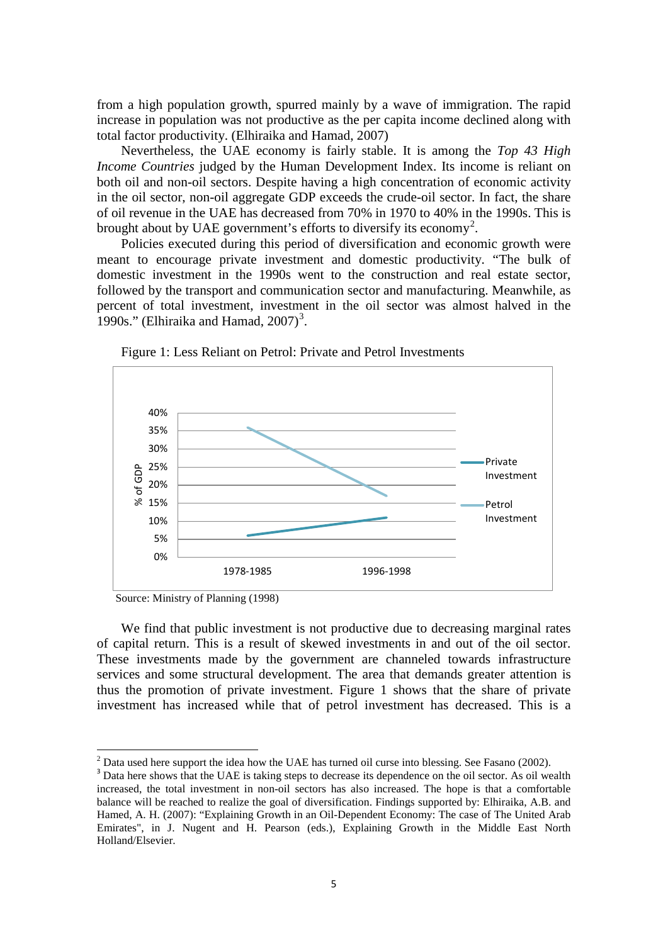from a high population growth, spurred mainly by a wave of immigration. The rapid increase in population was not productive as the per capita income declined along with total factor productivity. (Elhiraika and Hamad, 2007)

Nevertheless, the UAE economy is fairly stable. It is among the *Top 43 High Income Countries* judged by the Human Development Index. Its income is reliant on both oil and non-oil sectors. Despite having a high concentration of economic activity in the oil sector, non-oil aggregate GDP exceeds the crude-oil sector. In fact, the share of oil revenue in the UAE has decreased from 70% in 1970 to 40% in the 1990s. This is brought about by UAE government's efforts to diversify its economy<sup>[2](#page-3-0)</sup>.

Policies executed during this period of diversification and economic growth were meant to encourage private investment and domestic productivity. "The bulk of domestic investment in the 1990s went to the construction and real estate sector, followed by the transport and communication sector and manufacturing. Meanwhile, as percent of total investment, investment in the oil sector was almost halved in the 1990s." (Elhiraika and Hamad,  $2007$ )<sup>[3](#page-5-0)</sup>.



Figure 1: Less Reliant on Petrol: Private and Petrol Investments

Source: Ministry of Planning (1998)

We find that public investment is not productive due to decreasing marginal rates of capital return. This is a result of skewed investments in and out of the oil sector. These investments made by the government are channeled towards infrastructure services and some structural development. The area that demands greater attention is thus the promotion of private investment. Figure 1 shows that the share of private investment has increased while that of petrol investment has decreased. This is a

 $2$  Data used here support the idea how the UAE has turned oil curse into blessing. See Fasano (2002).

<span id="page-5-1"></span><span id="page-5-0"></span><sup>&</sup>lt;sup>3</sup> Data here shows that the UAE is taking steps to decrease its dependence on the oil sector. As oil wealth increased, the total investment in non-oil sectors has also increased. The hope is that a comfortable balance will be reached to realize the goal of diversification. Findings supported by: Elhiraika, A.B. and Hamed, A. H. (2007): "Explaining Growth in an Oil-Dependent Economy: The case of The United Arab Emirates", in J. Nugent and H. Pearson (eds.), Explaining Growth in the Middle East North Holland/Elsevier.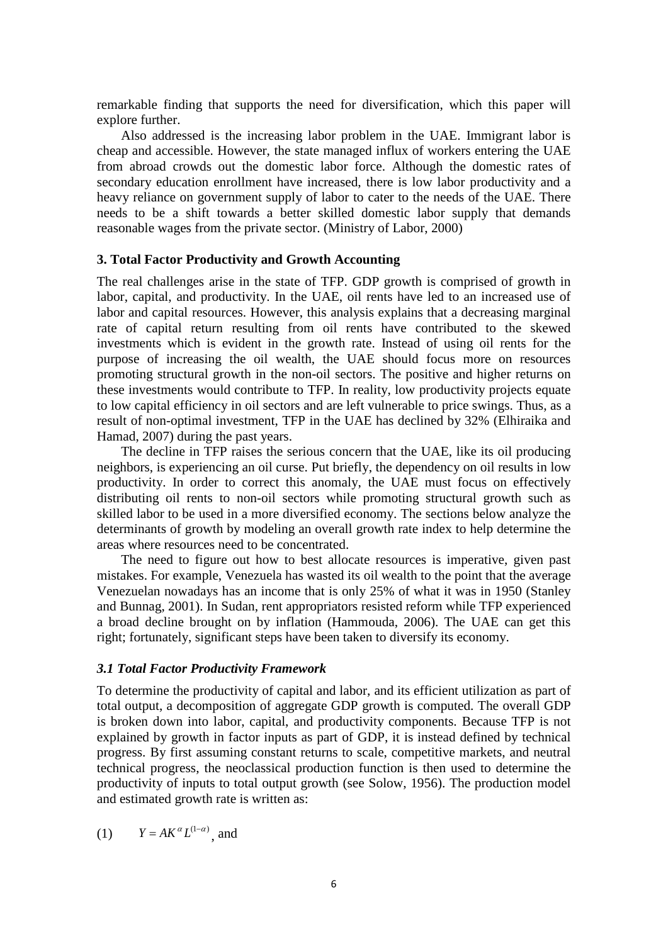remarkable finding that supports the need for diversification, which this paper will explore further.

Also addressed is the increasing labor problem in the UAE. Immigrant labor is cheap and accessible. However, the state managed influx of workers entering the UAE from abroad crowds out the domestic labor force. Although the domestic rates of secondary education enrollment have increased, there is low labor productivity and a heavy reliance on government supply of labor to cater to the needs of the UAE. There needs to be a shift towards a better skilled domestic labor supply that demands reasonable wages from the private sector. (Ministry of Labor, 2000)

#### **3. Total Factor Productivity and Growth Accounting**

The real challenges arise in the state of TFP. GDP growth is comprised of growth in labor, capital, and productivity. In the UAE, oil rents have led to an increased use of labor and capital resources. However, this analysis explains that a decreasing marginal rate of capital return resulting from oil rents have contributed to the skewed investments which is evident in the growth rate. Instead of using oil rents for the purpose of increasing the oil wealth, the UAE should focus more on resources promoting structural growth in the non-oil sectors. The positive and higher returns on these investments would contribute to TFP. In reality, low productivity projects equate to low capital efficiency in oil sectors and are left vulnerable to price swings. Thus, as a result of non-optimal investment, TFP in the UAE has declined by 32% (Elhiraika and Hamad, 2007) during the past years.

The decline in TFP raises the serious concern that the UAE, like its oil producing neighbors, is experiencing an oil curse. Put briefly, the dependency on oil results in low productivity. In order to correct this anomaly, the UAE must focus on effectively distributing oil rents to non-oil sectors while promoting structural growth such as skilled labor to be used in a more diversified economy. The sections below analyze the determinants of growth by modeling an overall growth rate index to help determine the areas where resources need to be concentrated.

The need to figure out how to best allocate resources is imperative, given past mistakes. For example, Venezuela has wasted its oil wealth to the point that the average Venezuelan nowadays has an income that is only 25% of what it was in 1950 (Stanley and Bunnag, 2001). In Sudan, rent appropriators resisted reform while TFP experienced a broad decline brought on by inflation (Hammouda, 2006). The UAE can get this right; fortunately, significant steps have been taken to diversify its economy.

#### *3.1 Total Factor Productivity Framework*

To determine the productivity of capital and labor, and its efficient utilization as part of total output, a decomposition of aggregate GDP growth is computed. The overall GDP is broken down into labor, capital, and productivity components. Because TFP is not explained by growth in factor inputs as part of GDP, it is instead defined by technical progress. By first assuming constant returns to scale, competitive markets, and neutral technical progress, the neoclassical production function is then used to determine the productivity of inputs to total output growth (see Solow, 1956). The production model and estimated growth rate is written as:

(1) 
$$
Y = AK^{\alpha}L^{(1-\alpha)}, \text{ and}
$$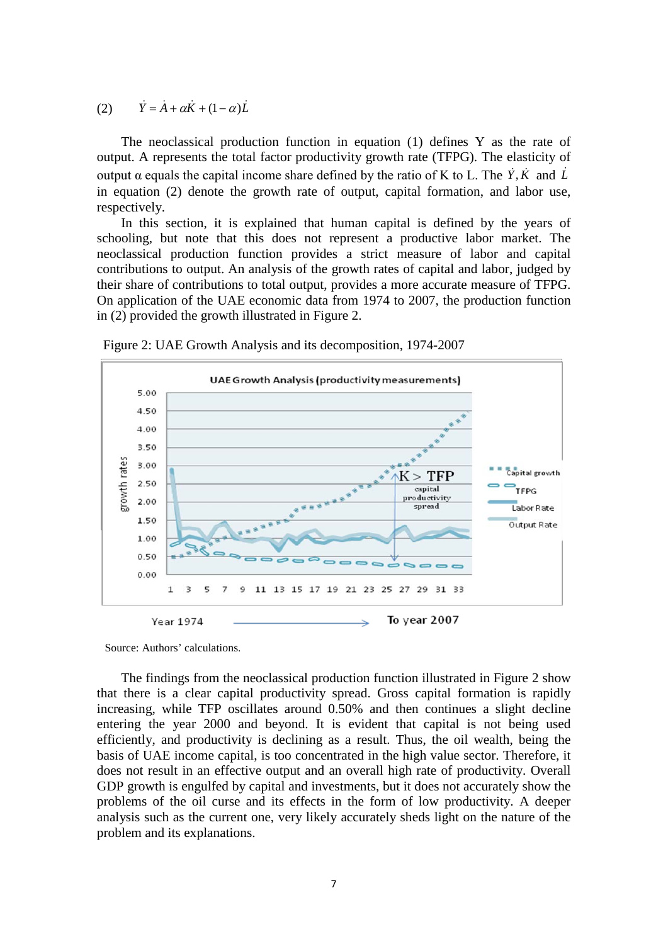(2)  $\dot{Y} = \dot{A} + \alpha \dot{K} + (1 - \alpha)\dot{L}$ 

The neoclassical production function in equation (1) defines Y as the rate of output. A represents the total factor productivity growth rate (TFPG). The elasticity of output  $\alpha$  equals the capital income share defined by the ratio of K to L. The  $\dot{Y}$ ,  $\dot{K}$  and  $\dot{L}$ in equation (2) denote the growth rate of output, capital formation, and labor use, respectively.

In this section, it is explained that human capital is defined by the years of schooling, but note that this does not represent a productive labor market. The neoclassical production function provides a strict measure of labor and capital contributions to output. An analysis of the growth rates of capital and labor, judged by their share of contributions to total output, provides a more accurate measure of TFPG. On application of the UAE economic data from 1974 to 2007, the production function in (2) provided the growth illustrated in Figure 2.



Figure 2: UAE Growth Analysis and its decomposition, 1974-2007

Source: Authors' calculations.

The findings from the neoclassical production function illustrated in Figure 2 show that there is a clear capital productivity spread. Gross capital formation is rapidly increasing, while TFP oscillates around 0.50% and then continues a slight decline entering the year 2000 and beyond. It is evident that capital is not being used efficiently, and productivity is declining as a result. Thus, the oil wealth, being the basis of UAE income capital, is too concentrated in the high value sector. Therefore, it does not result in an effective output and an overall high rate of productivity. Overall GDP growth is engulfed by capital and investments, but it does not accurately show the problems of the oil curse and its effects in the form of low productivity. A deeper analysis such as the current one, very likely accurately sheds light on the nature of the problem and its explanations.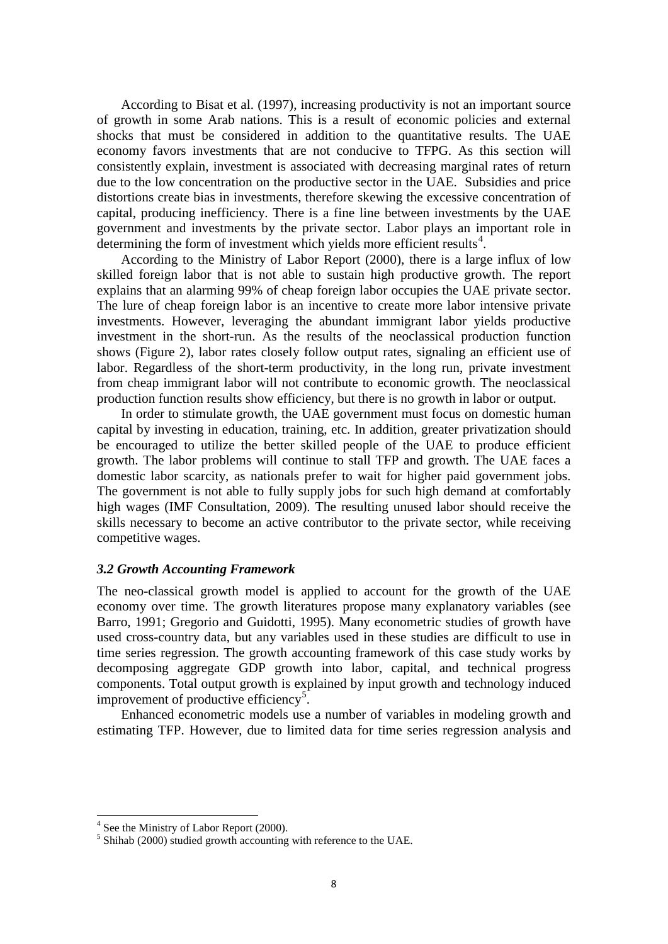According to Bisat et al. (1997), increasing productivity is not an important source of growth in some Arab nations. This is a result of economic policies and external shocks that must be considered in addition to the quantitative results. The UAE economy favors investments that are not conducive to TFPG. As this section will consistently explain, investment is associated with decreasing marginal rates of return due to the low concentration on the productive sector in the UAE. Subsidies and price distortions create bias in investments, therefore skewing the excessive concentration of capital, producing inefficiency. There is a fine line between investments by the UAE government and investments by the private sector. Labor plays an important role in determining the form of investment which yields more efficient results<sup>[4](#page-5-1)</sup>.

According to the Ministry of Labor Report (2000), there is a large influx of low skilled foreign labor that is not able to sustain high productive growth. The report explains that an alarming 99% of cheap foreign labor occupies the UAE private sector. The lure of cheap foreign labor is an incentive to create more labor intensive private investments. However, leveraging the abundant immigrant labor yields productive investment in the short-run. As the results of the neoclassical production function shows (Figure 2), labor rates closely follow output rates, signaling an efficient use of labor. Regardless of the short-term productivity, in the long run, private investment from cheap immigrant labor will not contribute to economic growth. The neoclassical production function results show efficiency, but there is no growth in labor or output.

In order to stimulate growth, the UAE government must focus on domestic human capital by investing in education, training, etc. In addition, greater privatization should be encouraged to utilize the better skilled people of the UAE to produce efficient growth. The labor problems will continue to stall TFP and growth. The UAE faces a domestic labor scarcity, as nationals prefer to wait for higher paid government jobs. The government is not able to fully supply jobs for such high demand at comfortably high wages (IMF Consultation, 2009). The resulting unused labor should receive the skills necessary to become an active contributor to the private sector, while receiving competitive wages.

#### *3.2 Growth Accounting Framework*

The neo-classical growth model is applied to account for the growth of the UAE economy over time. The growth literatures propose many explanatory variables (see Barro, 1991; Gregorio and Guidotti, 1995). Many econometric studies of growth have used cross-country data, but any variables used in these studies are difficult to use in time series regression. The growth accounting framework of this case study works by decomposing aggregate GDP growth into labor, capital, and technical progress components. Total output growth is explained by input growth and technology induced improvement of productive efficiency<sup>[5](#page-8-0)</sup>.

Enhanced econometric models use a number of variables in modeling growth and estimating TFP. However, due to limited data for time series regression analysis and

<span id="page-8-1"></span><span id="page-8-0"></span> $4$  See the Ministry of Labor Report (2000).<br><sup>5</sup> Shihab (2000) studied growth accounting with reference to the UAE.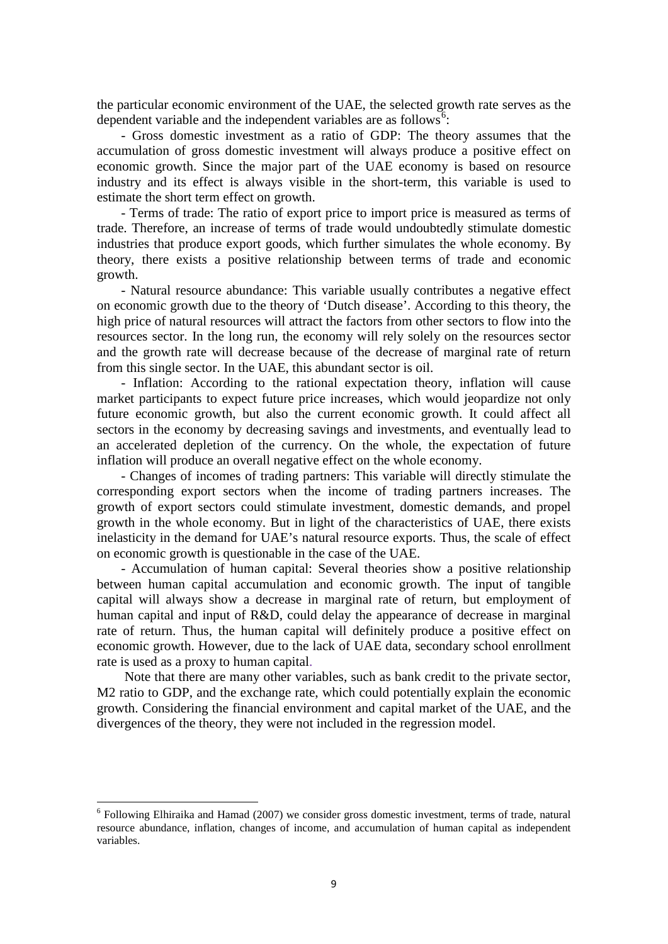the particular economic environment of the UAE, the selected growth rate serves as the dependent variable and the independent variables are as follows<sup>[6](#page-8-1)</sup>:

- Gross domestic investment as a ratio of GDP: The theory assumes that the accumulation of gross domestic investment will always produce a positive effect on economic growth. Since the major part of the UAE economy is based on resource industry and its effect is always visible in the short-term, this variable is used to estimate the short term effect on growth.

- Terms of trade: The ratio of export price to import price is measured as terms of trade. Therefore, an increase of terms of trade would undoubtedly stimulate domestic industries that produce export goods, which further simulates the whole economy. By theory, there exists a positive relationship between terms of trade and economic growth.

- Natural resource abundance: This variable usually contributes a negative effect on economic growth due to the theory of 'Dutch disease'. According to this theory, the high price of natural resources will attract the factors from other sectors to flow into the resources sector. In the long run, the economy will rely solely on the resources sector and the growth rate will decrease because of the decrease of marginal rate of return from this single sector. In the UAE, this abundant sector is oil.

- Inflation: According to the rational expectation theory, inflation will cause market participants to expect future price increases, which would jeopardize not only future economic growth, but also the current economic growth. It could affect all sectors in the economy by decreasing savings and investments, and eventually lead to an accelerated depletion of the currency. On the whole, the expectation of future inflation will produce an overall negative effect on the whole economy.

- Changes of incomes of trading partners: This variable will directly stimulate the corresponding export sectors when the income of trading partners increases. The growth of export sectors could stimulate investment, domestic demands, and propel growth in the whole economy. But in light of the characteristics of UAE, there exists inelasticity in the demand for UAE's natural resource exports. Thus, the scale of effect on economic growth is questionable in the case of the UAE.

- Accumulation of human capital: Several theories show a positive relationship between human capital accumulation and economic growth. The input of tangible capital will always show a decrease in marginal rate of return, but employment of human capital and input of R&D, could delay the appearance of decrease in marginal rate of return. Thus, the human capital will definitely produce a positive effect on economic growth. However, due to the lack of UAE data, secondary school enrollment rate is used as a proxy to human capital.

Note that there are many other variables, such as bank credit to the private sector, M2 ratio to GDP, and the exchange rate, which could potentially explain the economic growth. Considering the financial environment and capital market of the UAE, and the divergences of the theory, they were not included in the regression model.

<span id="page-9-0"></span><sup>6</sup> Following Elhiraika and Hamad (2007) we consider gross domestic investment, terms of trade, natural resource abundance, inflation, changes of income, and accumulation of human capital as independent variables.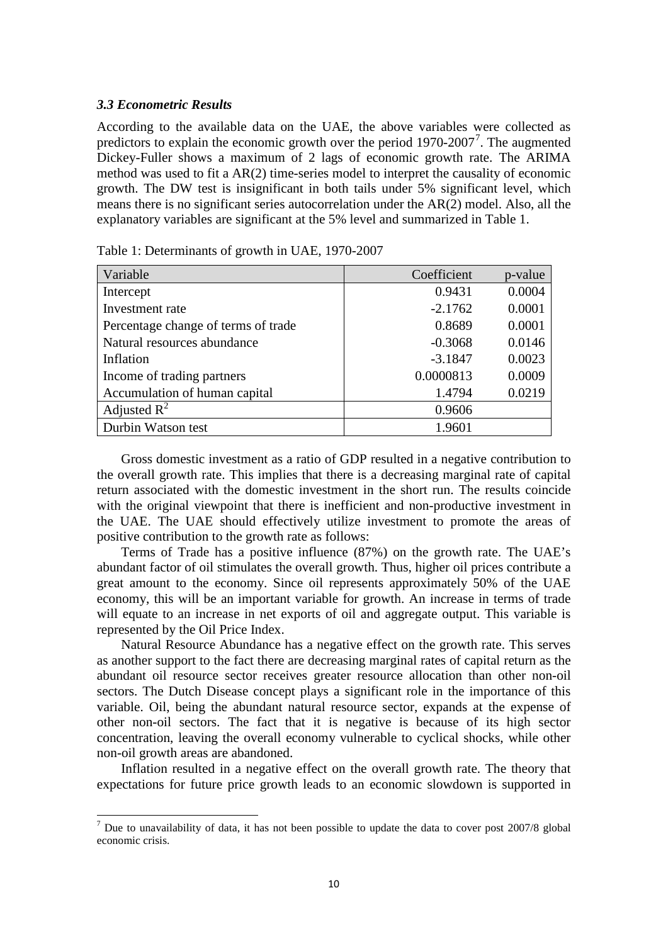#### *3.3 Econometric Results*

According to the available data on the UAE, the above variables were collected as predictors to explain the economic growth over the period  $1970-2007^7$  $1970-2007^7$  $1970-2007^7$ . The augmented Dickey-Fuller shows a maximum of 2 lags of economic growth rate. The ARIMA method was used to fit a AR(2) time-series model to interpret the causality of economic growth. The DW test is insignificant in both tails under 5% significant level, which means there is no significant series autocorrelation under the AR(2) model. Also, all the explanatory variables are significant at the 5% level and summarized in Table 1.

| Variable                            | Coefficient | p-value |
|-------------------------------------|-------------|---------|
| Intercept                           | 0.9431      | 0.0004  |
| Investment rate                     | $-2.1762$   | 0.0001  |
| Percentage change of terms of trade | 0.8689      | 0.0001  |
| Natural resources abundance         | $-0.3068$   | 0.0146  |
| Inflation                           | $-3.1847$   | 0.0023  |
| Income of trading partners          | 0.0000813   | 0.0009  |
| Accumulation of human capital       | 1.4794      | 0.0219  |
| Adjusted $R^2$                      | 0.9606      |         |
| Durbin Watson test                  | 1.9601      |         |

| Table 1: Determinants of growth in UAE, 1970-2007 |  |  |  |
|---------------------------------------------------|--|--|--|
|---------------------------------------------------|--|--|--|

Gross domestic investment as a ratio of GDP resulted in a negative contribution to the overall growth rate. This implies that there is a decreasing marginal rate of capital return associated with the domestic investment in the short run. The results coincide with the original viewpoint that there is inefficient and non-productive investment in the UAE. The UAE should effectively utilize investment to promote the areas of positive contribution to the growth rate as follows:

Terms of Trade has a positive influence (87%) on the growth rate. The UAE's abundant factor of oil stimulates the overall growth. Thus, higher oil prices contribute a great amount to the economy. Since oil represents approximately 50% of the UAE economy, this will be an important variable for growth. An increase in terms of trade will equate to an increase in net exports of oil and aggregate output. This variable is represented by the Oil Price Index.

Natural Resource Abundance has a negative effect on the growth rate. This serves as another support to the fact there are decreasing marginal rates of capital return as the abundant oil resource sector receives greater resource allocation than other non-oil sectors. The Dutch Disease concept plays a significant role in the importance of this variable. Oil, being the abundant natural resource sector, expands at the expense of other non-oil sectors. The fact that it is negative is because of its high sector concentration, leaving the overall economy vulnerable to cyclical shocks, while other non-oil growth areas are abandoned.

Inflation resulted in a negative effect on the overall growth rate. The theory that expectations for future price growth leads to an economic slowdown is supported in

<span id="page-10-0"></span> $<sup>7</sup>$  Due to unavailability of data, it has not been possible to update the data to cover post 2007/8 global</sup> economic crisis.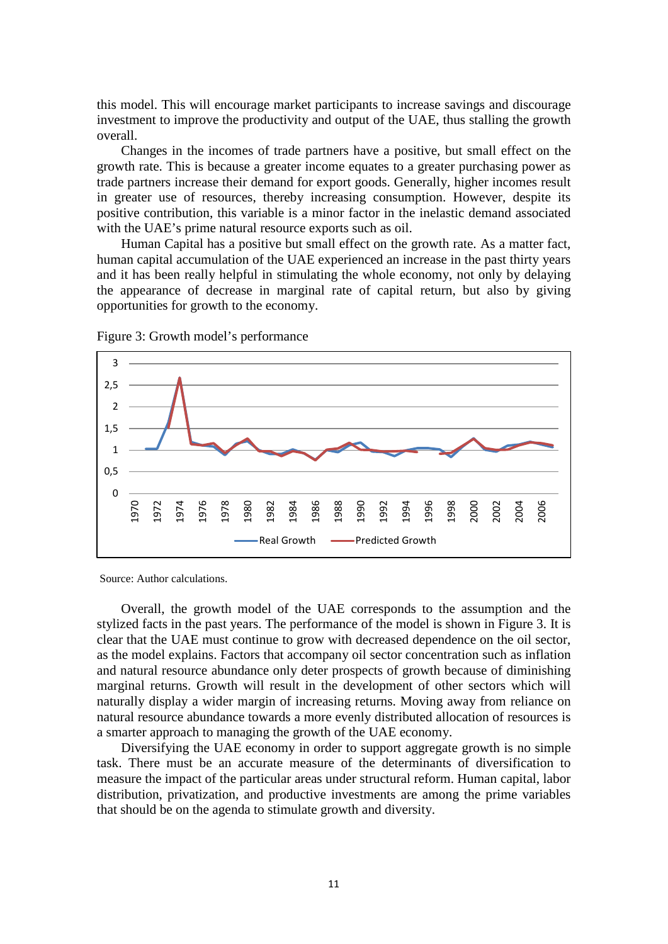this model. This will encourage market participants to increase savings and discourage investment to improve the productivity and output of the UAE, thus stalling the growth overall.

Changes in the incomes of trade partners have a positive, but small effect on the growth rate. This is because a greater income equates to a greater purchasing power as trade partners increase their demand for export goods. Generally, higher incomes result in greater use of resources, thereby increasing consumption. However, despite its positive contribution, this variable is a minor factor in the inelastic demand associated with the UAE's prime natural resource exports such as oil.

Human Capital has a positive but small effect on the growth rate. As a matter fact, human capital accumulation of the UAE experienced an increase in the past thirty years and it has been really helpful in stimulating the whole economy, not only by delaying the appearance of decrease in marginal rate of capital return, but also by giving opportunities for growth to the economy.



Figure 3: Growth model's performance

Source: Author calculations.

Overall, the growth model of the UAE corresponds to the assumption and the stylized facts in the past years. The performance of the model is shown in Figure 3. It is clear that the UAE must continue to grow with decreased dependence on the oil sector, as the model explains. Factors that accompany oil sector concentration such as inflation and natural resource abundance only deter prospects of growth because of diminishing marginal returns. Growth will result in the development of other sectors which will naturally display a wider margin of increasing returns. Moving away from reliance on natural resource abundance towards a more evenly distributed allocation of resources is a smarter approach to managing the growth of the UAE economy.

Diversifying the UAE economy in order to support aggregate growth is no simple task. There must be an accurate measure of the determinants of diversification to measure the impact of the particular areas under structural reform. Human capital, labor distribution, privatization, and productive investments are among the prime variables that should be on the agenda to stimulate growth and diversity.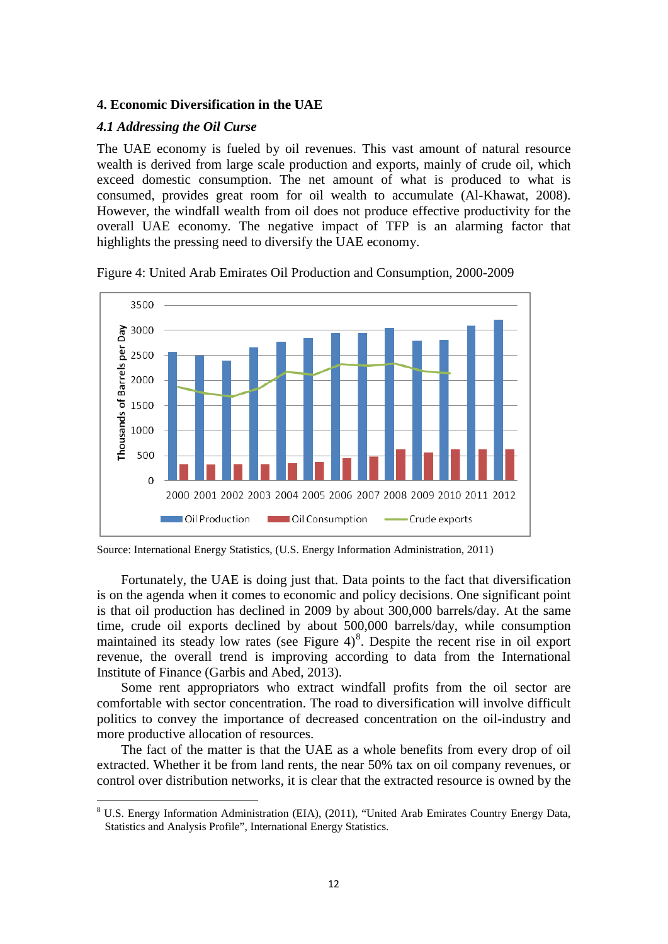#### **4. Economic Diversification in the UAE**

#### *4.1 Addressing the Oil Curse*

The UAE economy is fueled by oil revenues. This vast amount of natural resource wealth is derived from large scale production and exports, mainly of crude oil, which exceed domestic consumption. The net amount of what is produced to what is consumed, provides great room for oil wealth to accumulate (Al-Khawat, 2008). However, the windfall wealth from oil does not produce effective productivity for the overall UAE economy. The negative impact of TFP is an alarming factor that highlights the pressing need to diversify the UAE economy.



Figure 4: United Arab Emirates Oil Production and Consumption, 2000-2009

Fortunately, the UAE is doing just that. Data points to the fact that diversification is on the agenda when it comes to economic and policy decisions. One significant point is that oil production has declined in 2009 by about 300,000 barrels/day. At the same time, crude oil exports declined by about 500,000 barrels/day, while consumption maintained its steady low rates (see Figure 4)<sup>[8](#page-10-0)</sup>. Despite the recent rise in oil export revenue, the overall trend is improving according to data from the International Institute of Finance (Garbis and Abed, 2013).

Some rent appropriators who extract windfall profits from the oil sector are comfortable with sector concentration. The road to diversification will involve difficult politics to convey the importance of decreased concentration on the oil-industry and more productive allocation of resources.

The fact of the matter is that the UAE as a whole benefits from every drop of oil extracted. Whether it be from land rents, the near 50% tax on oil company revenues, or control over distribution networks, it is clear that the extracted resource is owned by the

Source: International Energy Statistics, (U.S. Energy Information Administration, 2011)

<span id="page-12-0"></span><sup>8</sup> U.S. Energy Information Administration (EIA), (2011), "United Arab Emirates Country Energy Data, Statistics and Analysis Profile", International Energy Statistics.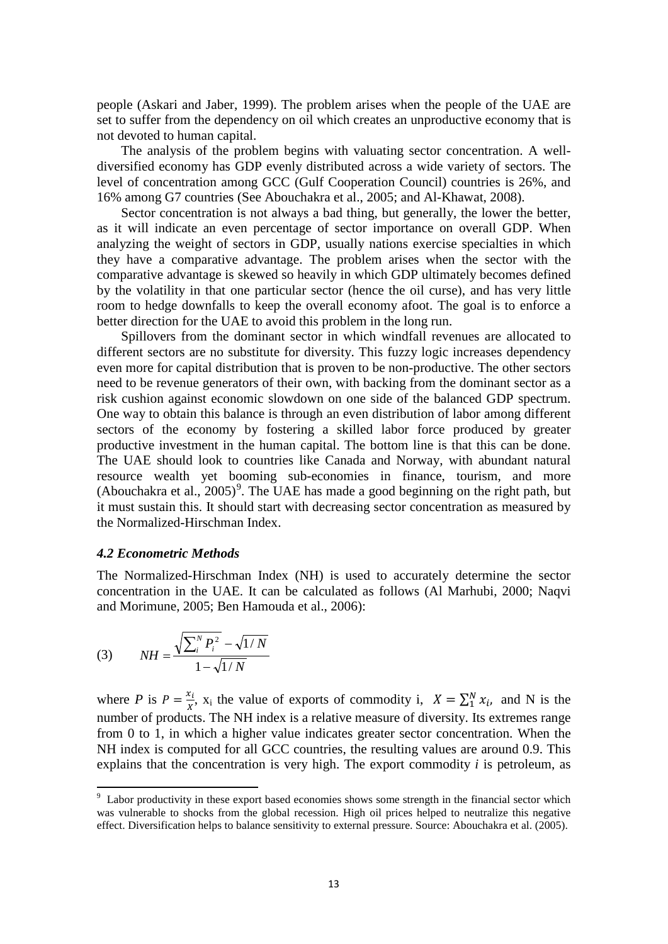people (Askari and Jaber, 1999). The problem arises when the people of the UAE are set to suffer from the dependency on oil which creates an unproductive economy that is not devoted to human capital.

The analysis of the problem begins with valuating sector concentration. A welldiversified economy has GDP evenly distributed across a wide variety of sectors. The level of concentration among GCC (Gulf Cooperation Council) countries is 26%, and 16% among G7 countries (See Abouchakra et al., 2005; and Al-Khawat, 2008).

Sector concentration is not always a bad thing, but generally, the lower the better, as it will indicate an even percentage of sector importance on overall GDP. When analyzing the weight of sectors in GDP, usually nations exercise specialties in which they have a comparative advantage. The problem arises when the sector with the comparative advantage is skewed so heavily in which GDP ultimately becomes defined by the volatility in that one particular sector (hence the oil curse), and has very little room to hedge downfalls to keep the overall economy afoot. The goal is to enforce a better direction for the UAE to avoid this problem in the long run.

Spillovers from the dominant sector in which windfall revenues are allocated to different sectors are no substitute for diversity. This fuzzy logic increases dependency even more for capital distribution that is proven to be non-productive. The other sectors need to be revenue generators of their own, with backing from the dominant sector as a risk cushion against economic slowdown on one side of the balanced GDP spectrum. One way to obtain this balance is through an even distribution of labor among different sectors of the economy by fostering a skilled labor force produced by greater productive investment in the human capital. The bottom line is that this can be done. The UAE should look to countries like Canada and Norway, with abundant natural resource wealth yet booming sub-economies in finance, tourism, and more (Abouchakra et al.,  $2005$ )<sup>[9](#page-12-0)</sup>. The UAE has made a good beginning on the right path, but it must sustain this. It should start with decreasing sector concentration as measured by the Normalized-Hirschman Index.

#### *4.2 Econometric Methods*

The Normalized-Hirschman Index (NH) is used to accurately determine the sector concentration in the UAE. It can be calculated as follows (Al Marhubi, 2000; Naqvi and Morimune, 2005; Ben Hamouda et al., 2006):

(3) 
$$
NH = \frac{\sqrt{\sum_{i}^{N} P_{i}^{2}} - \sqrt{1/N}}{1 - \sqrt{1/N}}
$$

where *P* is  $P = \frac{x_i}{x}$ ,  $x_i$  the value of exports of commodity i,  $X = \sum_{i=1}^{N} x_i$ , and N is the number of products. The NH index is a relative measure of diversity. Its extremes range from 0 to 1, in which a higher value indicates greater sector concentration. When the NH index is computed for all GCC countries, the resulting values are around 0.9. This explains that the concentration is very high. The export commodity *i* is petroleum, as

<span id="page-13-0"></span><sup>-&</sup>lt;br>9 <sup>9</sup> Labor productivity in these export based economies shows some strength in the financial sector which was vulnerable to shocks from the global recession. High oil prices helped to neutralize this negative effect. Diversification helps to balance sensitivity to external pressure. Source: Abouchakra et al. (2005).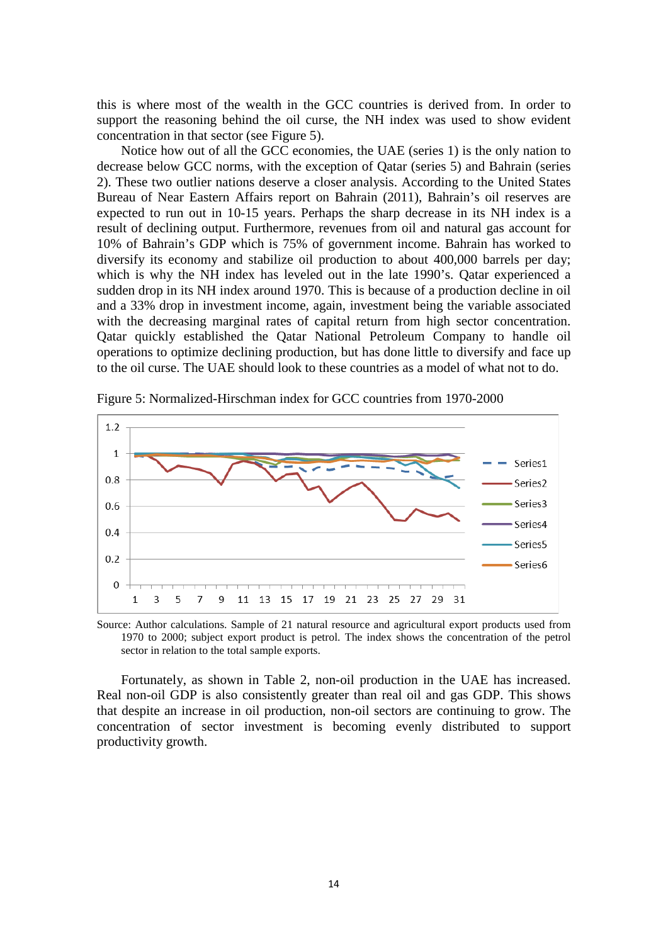this is where most of the wealth in the GCC countries is derived from. In order to support the reasoning behind the oil curse, the NH index was used to show evident concentration in that sector (see Figure 5).

Notice how out of all the GCC economies, the UAE (series 1) is the only nation to decrease below GCC norms, with the exception of Qatar (series 5) and Bahrain (series 2). These two outlier nations deserve a closer analysis. According to the United States Bureau of Near Eastern Affairs report on Bahrain (2011), Bahrain's oil reserves are expected to run out in 10-15 years. Perhaps the sharp decrease in its NH index is a result of declining output. Furthermore, revenues from oil and natural gas account for 10% of Bahrain's GDP which is 75% of government income. Bahrain has worked to diversify its economy and stabilize oil production to about 400,000 barrels per day; which is why the NH index has leveled out in the late 1990's. Qatar experienced a sudden drop in its NH index around 1970. This is because of a production decline in oil and a 33% drop in investment income, again, investment being the variable associated with the decreasing marginal rates of capital return from high sector concentration. Qatar quickly established the Qatar National Petroleum Company to handle oil operations to optimize declining production, but has done little to diversify and face up to the oil curse. The UAE should look to these countries as a model of what not to do.



Figure 5: Normalized-Hirschman index for GCC countries from 1970-2000

Source: Author calculations. Sample of 21 natural resource and agricultural export products used from 1970 to 2000; subject export product is petrol. The index shows the concentration of the petrol sector in relation to the total sample exports.

Fortunately, as shown in Table 2, non-oil production in the UAE has increased. Real non-oil GDP is also consistently greater than real oil and gas GDP. This shows that despite an increase in oil production, non-oil sectors are continuing to grow. The concentration of sector investment is becoming evenly distributed to support productivity growth.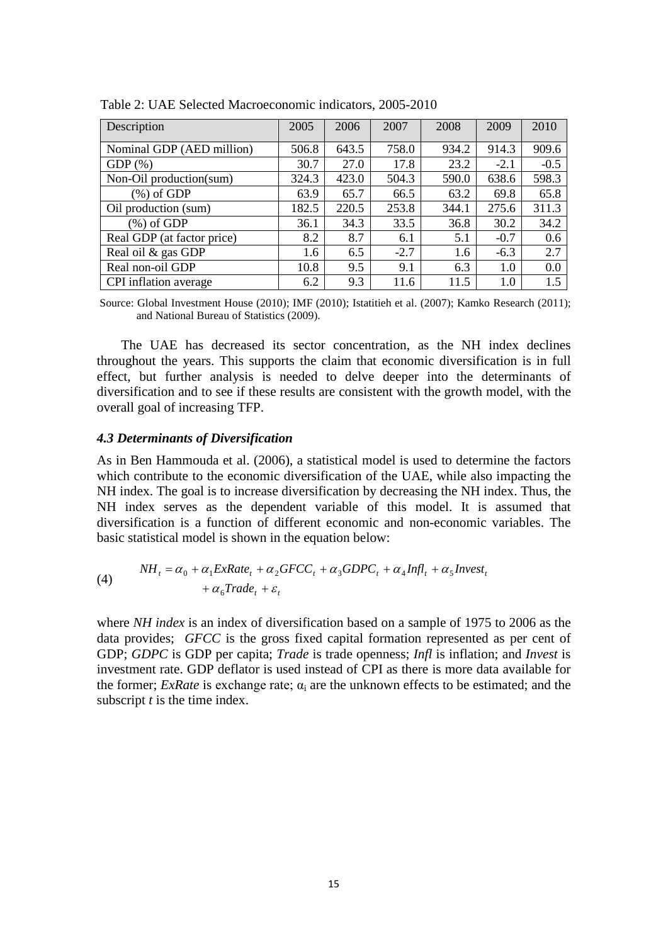| Description                | 2005  | 2006  | 2007   | 2008  | 2009   | 2010   |
|----------------------------|-------|-------|--------|-------|--------|--------|
| Nominal GDP (AED million)  | 506.8 | 643.5 | 758.0  | 934.2 | 914.3  | 909.6  |
| $GDP(\%)$                  | 30.7  | 27.0  | 17.8   | 23.2  | $-2.1$ | $-0.5$ |
| Non-Oil production(sum)    | 324.3 | 423.0 | 504.3  | 590.0 | 638.6  | 598.3  |
| $(\%)$ of GDP              | 63.9  | 65.7  | 66.5   | 63.2  | 69.8   | 65.8   |
| Oil production (sum)       | 182.5 | 220.5 | 253.8  | 344.1 | 275.6  | 311.3  |
| $(\%)$ of GDP              | 36.1  | 34.3  | 33.5   | 36.8  | 30.2   | 34.2   |
| Real GDP (at factor price) | 8.2   | 8.7   | 6.1    | 5.1   | $-0.7$ | 0.6    |
| Real oil & gas GDP         | 1.6   | 6.5   | $-2.7$ | 1.6   | $-6.3$ | 2.7    |
| Real non-oil GDP           | 10.8  | 9.5   | 9.1    | 6.3   | 1.0    | 0.0    |
| CPI inflation average      | 6.2   | 9.3   | 11.6   | 11.5  | 1.0    | 1.5    |

Table 2: UAE Selected Macroeconomic indicators, 2005-2010

Source: Global Investment House (2010); IMF (2010); Istatitieh et al. (2007); Kamko Research (2011); and National Bureau of Statistics (2009).

The UAE has decreased its sector concentration, as the NH index declines throughout the years. This supports the claim that economic diversification is in full effect, but further analysis is needed to delve deeper into the determinants of diversification and to see if these results are consistent with the growth model, with the overall goal of increasing TFP.

#### *4.3 Determinants of Diversification*

As in Ben Hammouda et al. (2006), a statistical model is used to determine the factors which contribute to the economic diversification of the UAE, while also impacting the NH index. The goal is to increase diversification by decreasing the NH index. Thus, the NH index serves as the dependent variable of this model. It is assumed that diversification is a function of different economic and non-economic variables. The basic statistical model is shown in the equation below:

(4) 
$$
NH_t = \alpha_0 + \alpha_1 ExRate_t + \alpha_2 GFCC_t + \alpha_3 GDPC_t + \alpha_4 Infl_t + \alpha_5 Invest_t + \alpha_6 Trade_t + \varepsilon_t
$$

where *NH index* is an index of diversification based on a sample of 1975 to 2006 as the data provides; *GFCC* is the gross fixed capital formation represented as per cent of GDP; *GDPC* is GDP per capita; *Trade* is trade openness; *Infl* is inflation; and *Invest* is investment rate. GDP deflator is used instead of CPI as there is more data available for the former; *ExRate* is exchange rate;  $\alpha_i$  are the unknown effects to be estimated; and the subscript *t* is the time index.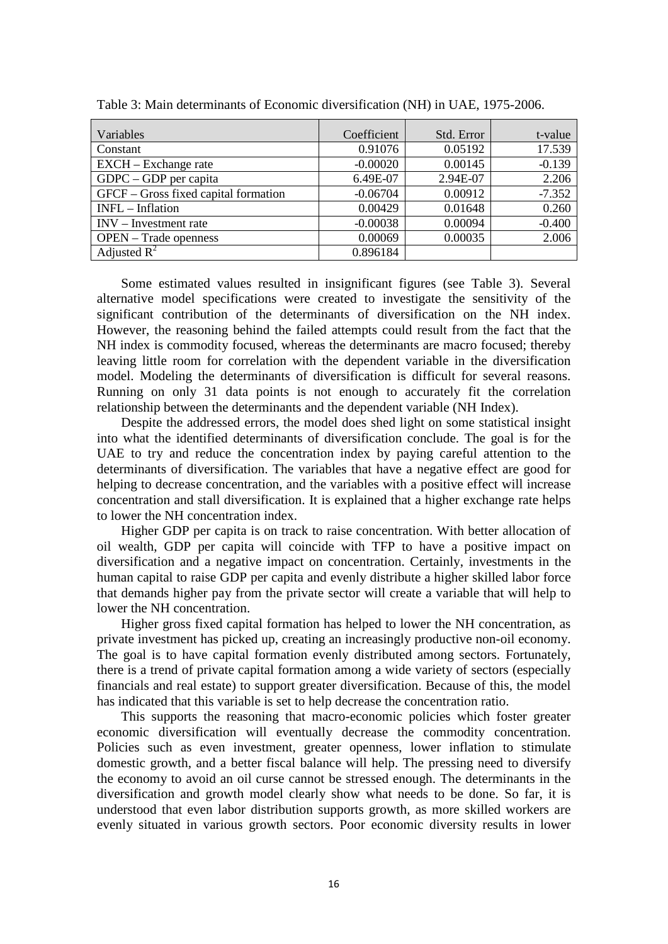| Variables                            | Coefficient | Std. Error | t-value  |
|--------------------------------------|-------------|------------|----------|
| Constant                             | 0.91076     | 0.05192    | 17.539   |
| EXCH – Exchange rate                 | $-0.00020$  | 0.00145    | $-0.139$ |
| $GDPC - GDP$ per capita              | 6.49E-07    | 2.94E-07   | 2.206    |
| GFCF – Gross fixed capital formation | $-0.06704$  | 0.00912    | $-7.352$ |
| INFL - Inflation                     | 0.00429     | 0.01648    | 0.260    |
| $INV - Investment rate$              | $-0.00038$  | 0.00094    | $-0.400$ |
| <b>OPEN</b> – Trade openness         | 0.00069     | 0.00035    | 2.006    |
| Adjusted $R^2$                       | 0.896184    |            |          |

Table 3: Main determinants of Economic diversification (NH) in UAE, 1975-2006.

Some estimated values resulted in insignificant figures (see Table 3). Several alternative model specifications were created to investigate the sensitivity of the significant contribution of the determinants of diversification on the NH index. However, the reasoning behind the failed attempts could result from the fact that the NH index is commodity focused, whereas the determinants are macro focused; thereby leaving little room for correlation with the dependent variable in the diversification model. Modeling the determinants of diversification is difficult for several reasons. Running on only 31 data points is not enough to accurately fit the correlation relationship between the determinants and the dependent variable (NH Index).

Despite the addressed errors, the model does shed light on some statistical insight into what the identified determinants of diversification conclude. The goal is for the UAE to try and reduce the concentration index by paying careful attention to the determinants of diversification. The variables that have a negative effect are good for helping to decrease concentration, and the variables with a positive effect will increase concentration and stall diversification. It is explained that a higher exchange rate helps to lower the NH concentration index.

Higher GDP per capita is on track to raise concentration. With better allocation of oil wealth, GDP per capita will coincide with TFP to have a positive impact on diversification and a negative impact on concentration. Certainly, investments in the human capital to raise GDP per capita and evenly distribute a higher skilled labor force that demands higher pay from the private sector will create a variable that will help to lower the NH concentration.

Higher gross fixed capital formation has helped to lower the NH concentration, as private investment has picked up, creating an increasingly productive non-oil economy. The goal is to have capital formation evenly distributed among sectors. Fortunately, there is a trend of private capital formation among a wide variety of sectors (especially financials and real estate) to support greater diversification. Because of this, the model has indicated that this variable is set to help decrease the concentration ratio.

This supports the reasoning that macro-economic policies which foster greater economic diversification will eventually decrease the commodity concentration. Policies such as even investment, greater openness, lower inflation to stimulate domestic growth, and a better fiscal balance will help. The pressing need to diversify the economy to avoid an oil curse cannot be stressed enough. The determinants in the diversification and growth model clearly show what needs to be done. So far, it is understood that even labor distribution supports growth, as more skilled workers are evenly situated in various growth sectors. Poor economic diversity results in lower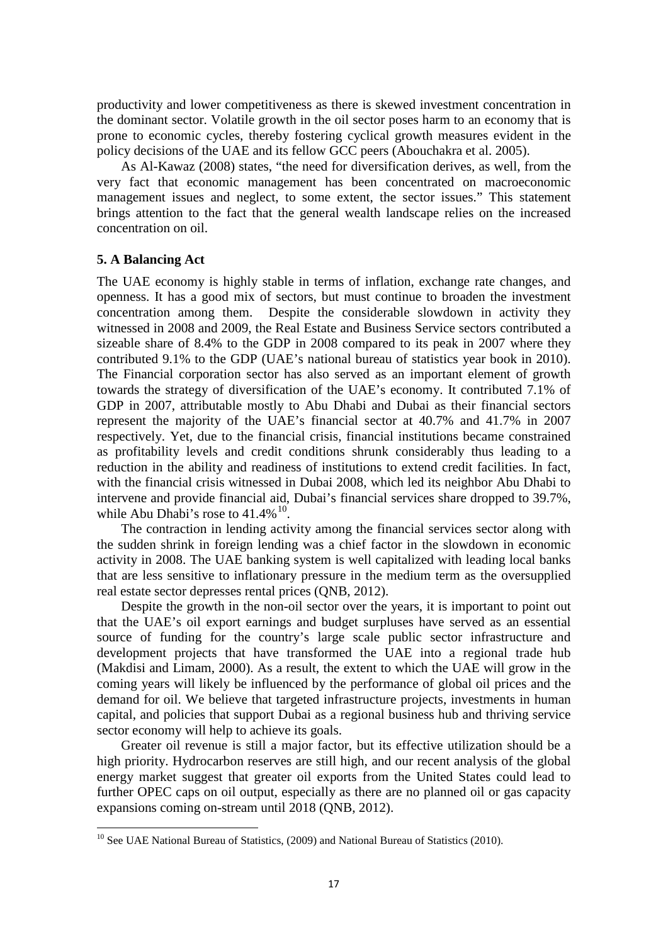productivity and lower competitiveness as there is skewed investment concentration in the dominant sector. Volatile growth in the oil sector poses harm to an economy that is prone to economic cycles, thereby fostering cyclical growth measures evident in the policy decisions of the UAE and its fellow GCC peers (Abouchakra et al. 2005).

As Al-Kawaz (2008) states, "the need for diversification derives, as well, from the very fact that economic management has been concentrated on macroeconomic management issues and neglect, to some extent, the sector issues." This statement brings attention to the fact that the general wealth landscape relies on the increased concentration on oil.

#### **5. A Balancing Act**

The UAE economy is highly stable in terms of inflation, exchange rate changes, and openness. It has a good mix of sectors, but must continue to broaden the investment concentration among them. Despite the considerable slowdown in activity they witnessed in 2008 and 2009, the Real Estate and Business Service sectors contributed a sizeable share of 8.4% to the GDP in 2008 compared to its peak in 2007 where they contributed 9.1% to the GDP (UAE's national bureau of statistics year book in 2010). The Financial corporation sector has also served as an important element of growth towards the strategy of diversification of the UAE's economy. It contributed 7.1% of GDP in 2007, attributable mostly to Abu Dhabi and Dubai as their financial sectors represent the majority of the UAE's financial sector at 40.7% and 41.7% in 2007 respectively. Yet, due to the financial crisis, financial institutions became constrained as profitability levels and credit conditions shrunk considerably thus leading to a reduction in the ability and readiness of institutions to extend credit facilities. In fact, with the financial crisis witnessed in Dubai 2008, which led its neighbor Abu Dhabi to intervene and provide financial aid, Dubai's financial services share dropped to 39.7%, while Abu Dhabi's rose to  $41.4\%$ <sup>10</sup>.

The contraction in lending activity among the financial services sector along with the sudden shrink in foreign lending was a chief factor in the slowdown in economic activity in 2008. The UAE banking system is well capitalized with leading local banks that are less sensitive to inflationary pressure in the medium term as the oversupplied real estate sector depresses rental prices (QNB, 2012).

Despite the growth in the non-oil sector over the years, it is important to point out that the UAE's oil export earnings and budget surpluses have served as an essential source of funding for the country's large scale public sector infrastructure and development projects that have transformed the UAE into a regional trade hub (Makdisi and Limam, 2000). As a result, the extent to which the UAE will grow in the coming years will likely be influenced by the performance of global oil prices and the demand for oil. We believe that targeted infrastructure projects, investments in human capital, and policies that support Dubai as a regional business hub and thriving service sector economy will help to achieve its goals.

Greater oil revenue is still a major factor, but its effective utilization should be a high priority. Hydrocarbon reserves are still high, and our recent analysis of the global energy market suggest that greater oil exports from the United States could lead to further OPEC caps on oil output, especially as there are no planned oil or gas capacity expansions coming on-stream until 2018 (QNB, 2012).

<sup>&</sup>lt;sup>10</sup> See UAE National Bureau of Statistics, (2009) and National Bureau of Statistics (2010).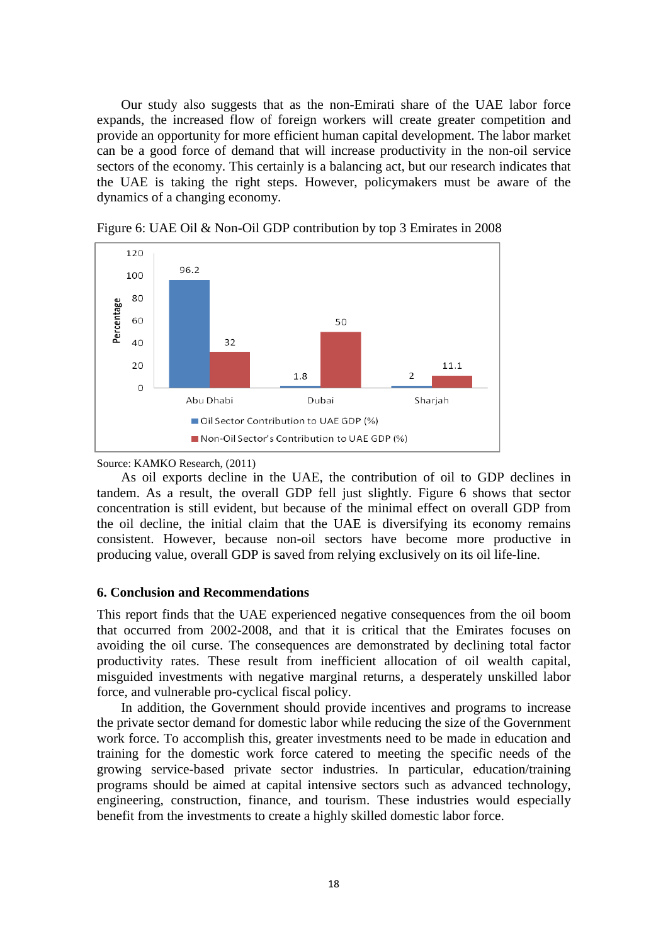Our study also suggests that as the non-Emirati share of the UAE labor force expands, the increased flow of foreign workers will create greater competition and provide an opportunity for more efficient human capital development. The labor market can be a good force of demand that will increase productivity in the non-oil service sectors of the economy. This certainly is a balancing act, but our research indicates that the UAE is taking the right steps. However, policymakers must be aware of the dynamics of a changing economy.



Figure 6: UAE Oil & Non-Oil GDP contribution by top 3 Emirates in 2008

Source: KAMKO Research, (2011)

As oil exports decline in the UAE, the contribution of oil to GDP declines in tandem. As a result, the overall GDP fell just slightly. Figure 6 shows that sector concentration is still evident, but because of the minimal effect on overall GDP from the oil decline, the initial claim that the UAE is diversifying its economy remains consistent. However, because non-oil sectors have become more productive in producing value, overall GDP is saved from relying exclusively on its oil life-line.

#### **6. Conclusion and Recommendations**

This report finds that the UAE experienced negative consequences from the oil boom that occurred from 2002-2008, and that it is critical that the Emirates focuses on avoiding the oil curse. The consequences are demonstrated by declining total factor productivity rates. These result from inefficient allocation of oil wealth capital, misguided investments with negative marginal returns, a desperately unskilled labor force, and vulnerable pro-cyclical fiscal policy.

In addition, the Government should provide incentives and programs to increase the private sector demand for domestic labor while reducing the size of the Government work force. To accomplish this, greater investments need to be made in education and training for the domestic work force catered to meeting the specific needs of the growing service-based private sector industries. In particular, education/training programs should be aimed at capital intensive sectors such as advanced technology, engineering, construction, finance, and tourism. These industries would especially benefit from the investments to create a highly skilled domestic labor force.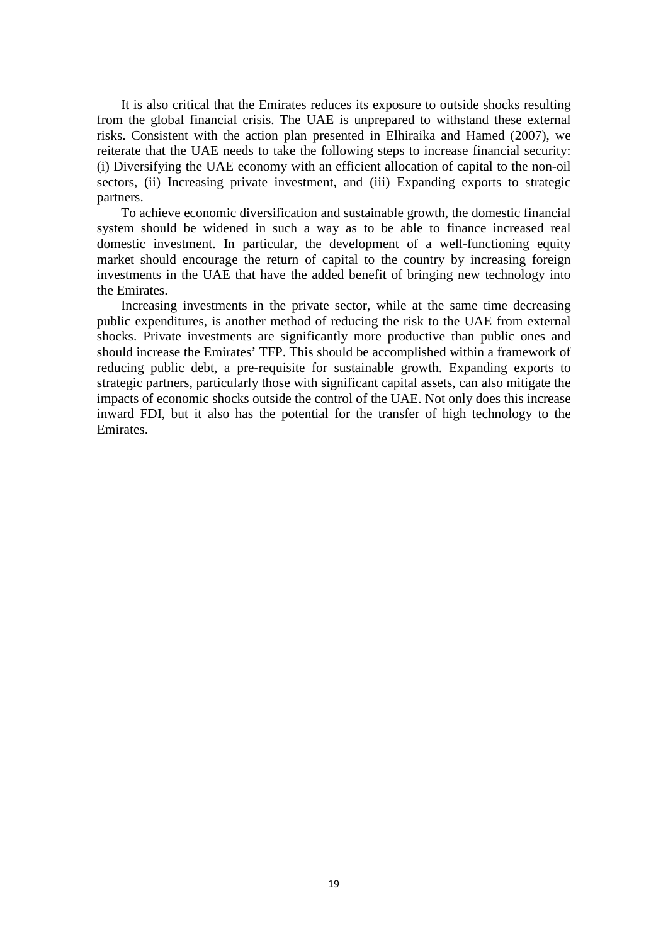It is also critical that the Emirates reduces its exposure to outside shocks resulting from the global financial crisis. The UAE is unprepared to withstand these external risks. Consistent with the action plan presented in Elhiraika and Hamed (2007), we reiterate that the UAE needs to take the following steps to increase financial security: (i) Diversifying the UAE economy with an efficient allocation of capital to the non-oil sectors, (ii) Increasing private investment, and (iii) Expanding exports to strategic partners.

To achieve economic diversification and sustainable growth, the domestic financial system should be widened in such a way as to be able to finance increased real domestic investment. In particular, the development of a well-functioning equity market should encourage the return of capital to the country by increasing foreign investments in the UAE that have the added benefit of bringing new technology into the Emirates.

Increasing investments in the private sector, while at the same time decreasing public expenditures, is another method of reducing the risk to the UAE from external shocks. Private investments are significantly more productive than public ones and should increase the Emirates' TFP. This should be accomplished within a framework of reducing public debt, a pre-requisite for sustainable growth. Expanding exports to strategic partners, particularly those with significant capital assets, can also mitigate the impacts of economic shocks outside the control of the UAE. Not only does this increase inward FDI, but it also has the potential for the transfer of high technology to the Emirates.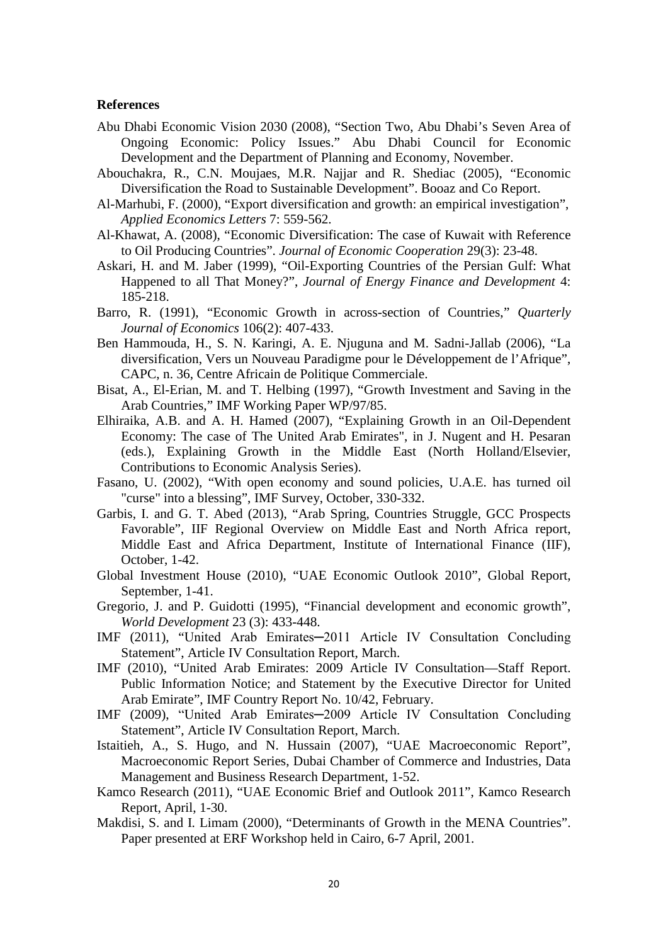#### **References**

- Abu Dhabi Economic Vision 2030 (2008), "Section Two, Abu Dhabi's Seven Area of Ongoing Economic: Policy Issues." Abu Dhabi Council for Economic Development and the Department of Planning and Economy, November.
- Abouchakra, R., C.N. Moujaes, M.R. Najjar and R. Shediac (2005), "Economic Diversification the Road to Sustainable Development". Booaz and Co Report.
- Al-Marhubi, F. (2000), "Export diversification and growth: an empirical investigation", *Applied Economics Letters* 7: 559-562.
- Al-Khawat, A. (2008), "Economic Diversification: The case of Kuwait with Reference to Oil Producing Countries". *Journal of Economic Cooperation* 29(3): 23-48.
- Askari, H. and M. Jaber (1999), "Oil-Exporting Countries of the Persian Gulf: What Happened to all That Money?", *Journal of Energy Finance and Development* 4: 185-218.
- Barro, R. (1991), "Economic Growth in across-section of Countries," *Quarterly Journal of Economics* 106(2): 407-433.
- Ben Hammouda, H., S. N. Karingi, A. E. Njuguna and M. Sadni-Jallab (2006), "La diversification, Vers un Nouveau Paradigme pour le Développement de l'Afrique", CAPC, n. 36, Centre Africain de Politique Commerciale.
- Bisat, A., El-Erian, M. and T. Helbing (1997), "Growth Investment and Saving in the Arab Countries," IMF Working Paper WP/97/85.
- Elhiraika, A.B. and A. H. Hamed (2007), "Explaining Growth in an Oil-Dependent Economy: The case of The United Arab Emirates", in J. Nugent and H. Pesaran (eds.), Explaining Growth in the Middle East (North Holland/Elsevier, Contributions to Economic Analysis Series).
- Fasano, U. (2002), "With open economy and sound policies, U.A.E. has turned oil "curse" into a blessing", IMF Survey, October, 330-332.
- Garbis, I. and G. T. Abed (2013), "Arab Spring, Countries Struggle, GCC Prospects Favorable", IIF Regional Overview on Middle East and North Africa report, Middle East and Africa Department, Institute of International Finance (IIF), October, 1-42.
- Global Investment House (2010), "UAE Economic Outlook 2010", Global Report, September, 1-41.
- Gregorio, J. and P. Guidotti (1995), "Financial development and economic growth", *World Development* 23 (3): 433-448.
- IMF (2011), "United Arab Emirates─2011 Article IV Consultation Concluding Statement", Article IV Consultation Report, March.
- IMF (2010), "United Arab Emirates: 2009 Article IV Consultation—Staff Report. Public Information Notice; and Statement by the Executive Director for United Arab Emirate", IMF Country Report No. 10/42, February.
- IMF (2009), "United Arab Emirates─2009 Article IV Consultation Concluding Statement", Article IV Consultation Report, March.
- Istaitieh, A., S. Hugo, and N. Hussain (2007), "UAE Macroeconomic Report", Macroeconomic Report Series, Dubai Chamber of Commerce and Industries, Data Management and Business Research Department, 1-52.
- Kamco Research (2011), "UAE Economic Brief and Outlook 2011", Kamco Research Report, April, 1-30.
- Makdisi, S. and I. Limam (2000), "Determinants of Growth in the MENA Countries". Paper presented at ERF Workshop held in Cairo, 6-7 April, 2001.